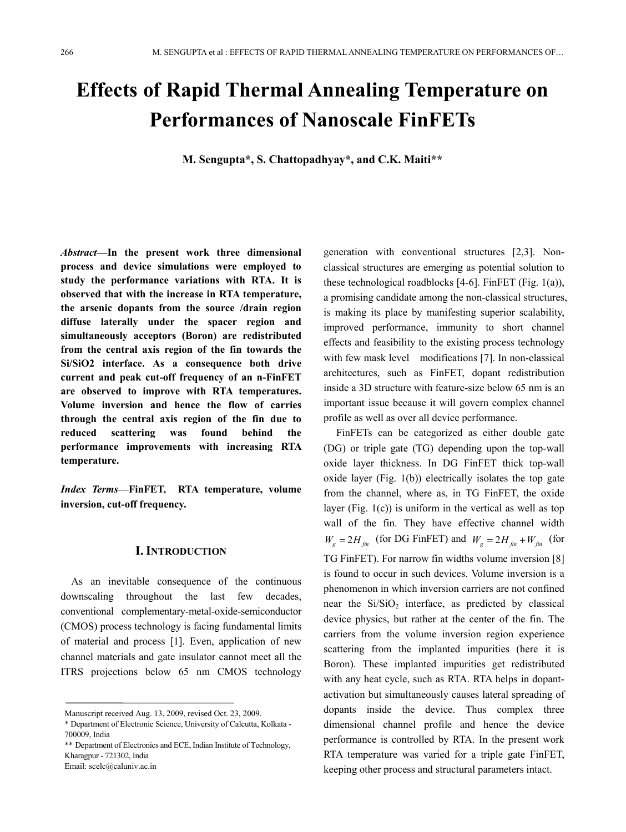# **Effects of Rapid Thermal Annealing Temperature on Performances of Nanoscale FinFETs**

**M. Sengupta\*, S. Chattopadhyay\*, and C.K. Maiti\*\***

*Abstract—***In the present work three dimensional process and device simulations were employed to study the performance variations with RTA. It is observed that with the increase in RTA temperature, the arsenic dopants from the source /drain region diffuse laterally under the spacer region and simultaneously acceptors (Boron) are redistributed from the central axis region of the fin towards the Si/SiO2 interface. As a consequence both drive current and peak cut-off frequency of an n-FinFET are observed to improve with RTA temperatures. Volume inversion and hence the flow of carries through the central axis region of the fin due to reduced scattering was found behind the performance improvements with increasing RTA temperature.** 

*Index Terms—***FinFET, RTA temperature, volume inversion, cut-off frequency.** 

## **I. INTRODUCTION**

As an inevitable consequence of the continuous downscaling throughout the last few decades, conventional complementary-metal-oxide-semiconductor (CMOS) process technology is facing fundamental limits of material and process [1]. Even, application of new channel materials and gate insulator cannot meet all the ITRS projections below 65 nm CMOS technology generation with conventional structures [2,3]. Nonclassical structures are emerging as potential solution to these technological roadblocks [4-6]. FinFET (Fig. 1(a)), a promising candidate among the non-classical structures, is making its place by manifesting superior scalability, improved performance, immunity to short channel effects and feasibility to the existing process technology with few mask level modifications [7]. In non-classical architectures, such as FinFET, dopant redistribution inside a 3D structure with feature-size below 65 nm is an important issue because it will govern complex channel profile as well as over all device performance.

FinFETs can be categorized as either double gate (DG) or triple gate (TG) depending upon the top-wall oxide layer thickness. In DG FinFET thick top-wall oxide layer (Fig. 1(b)) electrically isolates the top gate from the channel, where as, in TG FinFET, the oxide layer (Fig. 1(c)) is uniform in the vertical as well as top wall of the fin. They have effective channel width  $W_e = 2H_{\hat{r}_n}$  (for DG FinFET) and  $W_e = 2H_{\hat{r}_n} + W_{\hat{r}_n}$  (for TG FinFET). For narrow fin widths volume inversion [8] is found to occur in such devices. Volume inversion is a phenomenon in which inversion carriers are not confined near the  $Si/SiO<sub>2</sub>$  interface, as predicted by classical device physics, but rather at the center of the fin. The carriers from the volume inversion region experience scattering from the implanted impurities (here it is Boron). These implanted impurities get redistributed with any heat cycle, such as RTA. RTA helps in dopantactivation but simultaneously causes lateral spreading of dopants inside the device. Thus complex three dimensional channel profile and hence the device performance is controlled by RTA. In the present work RTA temperature was varied for a triple gate FinFET, keeping other process and structural parameters intact.

Manuscript received Aug. 13, 2009, revised Oct. 23, 2009.

<sup>\*</sup> Department of Electronic Science, University of Calcutta, Kolkata - 700009, India

<sup>\*\*</sup> Department of Electronics and ECE, Indian Institute of Technology, Kharagpur - 721302, India

Email: scelc@caluniv.ac.in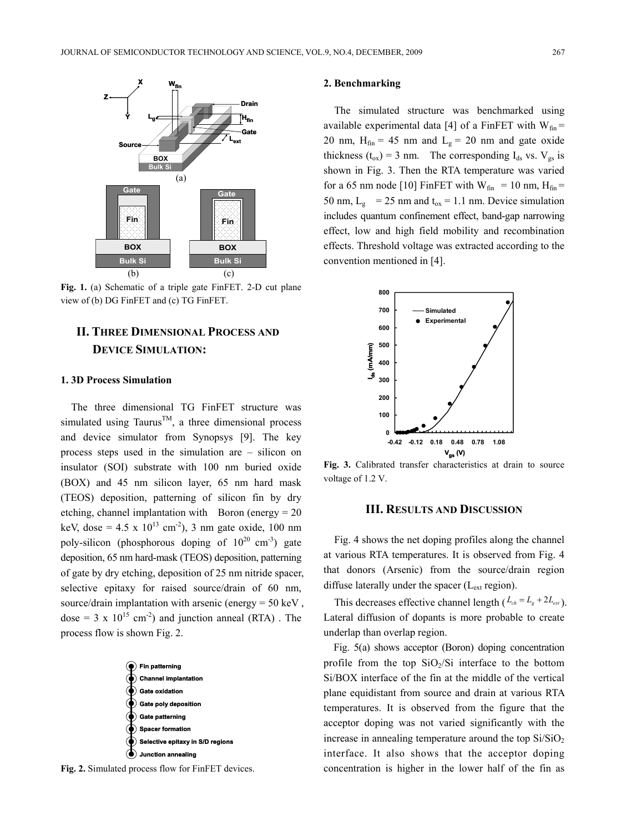

**Fig. 1.** (a) Schematic of a triple gate FinFET. 2-D cut plane view of (b) DG FinFET and (c) TG FinFET.

# **II. THREE DIMENSIONAL PROCESS AND DEVICE SIMULATION:**

#### **1. 3D Process Simulation**

The three dimensional TG FinFET structure was simulated using Taurus<sup>TM</sup>, a three dimensional process and device simulator from Synopsys [9]. The key process steps used in the simulation are – silicon on insulator (SOI) substrate with 100 nm buried oxide (BOX) and 45 nm silicon layer, 65 nm hard mask (TEOS) deposition, patterning of silicon fin by dry etching, channel implantation with Boron (energy  $= 20$ keV, dose =  $4.5 \times 10^{13}$  cm<sup>-2</sup>), 3 nm gate oxide, 100 nm poly-silicon (phosphorous doping of  $10^{20}$  cm<sup>-3</sup>) gate deposition, 65 nm hard-mask (TEOS) deposition, patterning of gate by dry etching, deposition of 25 nm nitride spacer, selective epitaxy for raised source/drain of 60 nm, source/drain implantation with arsenic (energy = 50 keV , dose = 3 x  $10^{15}$  cm<sup>-2</sup>) and junction anneal (RTA). The process flow is shown Fig. 2.



**Fig. 2.** Simulated process flow for FinFET devices.

#### **2. Benchmarking**

The simulated structure was benchmarked using available experimental data [4] of a FinFET with  $W_{fin}$  = 20 nm,  $H_{fin}$  = 45 nm and  $L_g$  = 20 nm and gate oxide thickness ( $t_{ox}$ ) = 3 nm. The corresponding  $I_{ds}$  vs.  $V_{gs}$  is shown in Fig. 3. Then the RTA temperature was varied for a 65 nm node [10] FinFET with  $W_{fin} = 10$  nm,  $H_{fin} =$ 50 nm,  $L_g$  = 25 nm and  $t_{ox}$  = 1.1 nm. Device simulation includes quantum confinement effect, band-gap narrowing effect, low and high field mobility and recombination effects. Threshold voltage was extracted according to the convention mentioned in [4].



**Fig. 3.** Calibrated transfer characteristics at drain to source voltage of 1.2 V.

#### **III. RESULTS AND DISCUSSION**

Fig. 4 shows the net doping profiles along the channel at various RTA temperatures. It is observed from Fig. 4 that donors (Arsenic) from the source/drain region diffuse laterally under the spacer  $(L_{ext}$  region).

This decreases effective channel length  $(L_{ch} = L_g + 2L_{ext})$ . Lateral diffusion of dopants is more probable to create underlap than overlap region.

Fig. 5(a) shows acceptor (Boron) doping concentration profile from the top  $SiO<sub>2</sub>/Si$  interface to the bottom Si/BOX interface of the fin at the middle of the vertical plane equidistant from source and drain at various RTA temperatures. It is observed from the figure that the acceptor doping was not varied significantly with the increase in annealing temperature around the top  $Si/SiO<sub>2</sub>$ interface. It also shows that the acceptor doping concentration is higher in the lower half of the fin as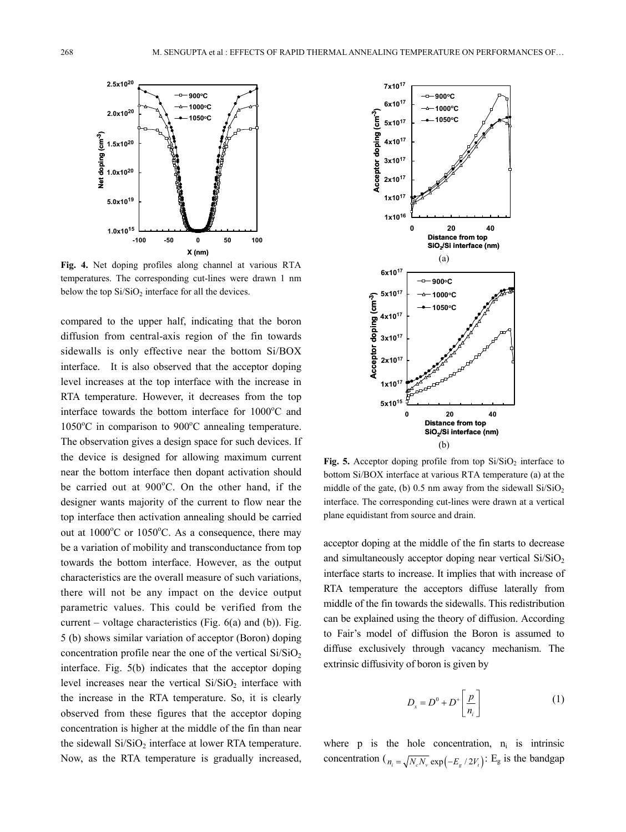

**Fig. 4.** Net doping profiles along channel at various RTA temperatures. The corresponding cut-lines were drawn 1 nm below the top  $Si/SiO<sub>2</sub>$  interface for all the devices.

compared to the upper half, indicating that the boron diffusion from central-axis region of the fin towards sidewalls is only effective near the bottom Si/BOX interface. It is also observed that the acceptor doping level increases at the top interface with the increase in RTA temperature. However, it decreases from the top interface towards the bottom interface for 1000°C and 1050°C in comparison to 900°C annealing temperature. The observation gives a design space for such devices. If the device is designed for allowing maximum current near the bottom interface then dopant activation should be carried out at 900°C. On the other hand, if the designer wants majority of the current to flow near the top interface then activation annealing should be carried out at  $1000^{\circ}$ C or  $1050^{\circ}$ C. As a consequence, there may be a variation of mobility and transconductance from top towards the bottom interface. However, as the output characteristics are the overall measure of such variations, there will not be any impact on the device output parametric values. This could be verified from the current – voltage characteristics (Fig.  $6(a)$  and (b)). Fig. 5 (b) shows similar variation of acceptor (Boron) doping concentration profile near the one of the vertical  $Si/SiO<sub>2</sub>$ interface. Fig. 5(b) indicates that the acceptor doping level increases near the vertical  $Si/SiO<sub>2</sub>$  interface with the increase in the RTA temperature. So, it is clearly observed from these figures that the acceptor doping concentration is higher at the middle of the fin than near the sidewall  $Si/SiO<sub>2</sub>$  interface at lower RTA temperature. Now, as the RTA temperature is gradually increased,



**Fig. 5.** Acceptor doping profile from top  $Si/SiO<sub>2</sub>$  interface to bottom Si/BOX interface at various RTA temperature (a) at the middle of the gate, (b)  $0.5$  nm away from the sidewall  $Si/SiO<sub>2</sub>$ interface. The corresponding cut-lines were drawn at a vertical plane equidistant from source and drain.

acceptor doping at the middle of the fin starts to decrease and simultaneously acceptor doping near vertical  $Si/SiO<sub>2</sub>$ interface starts to increase. It implies that with increase of RTA temperature the acceptors diffuse laterally from middle of the fin towards the sidewalls. This redistribution can be explained using the theory of diffusion. According to Fair's model of diffusion the Boron is assumed to diffuse exclusively through vacancy mechanism. The extrinsic diffusivity of boron is given by

$$
D_x = D^0 + D^+ \left[ \frac{p}{n_i} \right] \tag{1}
$$

where  $p$  is the hole concentration,  $n_i$  is intrinsic concentration ( $n_i = \sqrt{N_c N_v} \exp(-E_c / 2V_i)$ : E<sub>g</sub> is the bandgap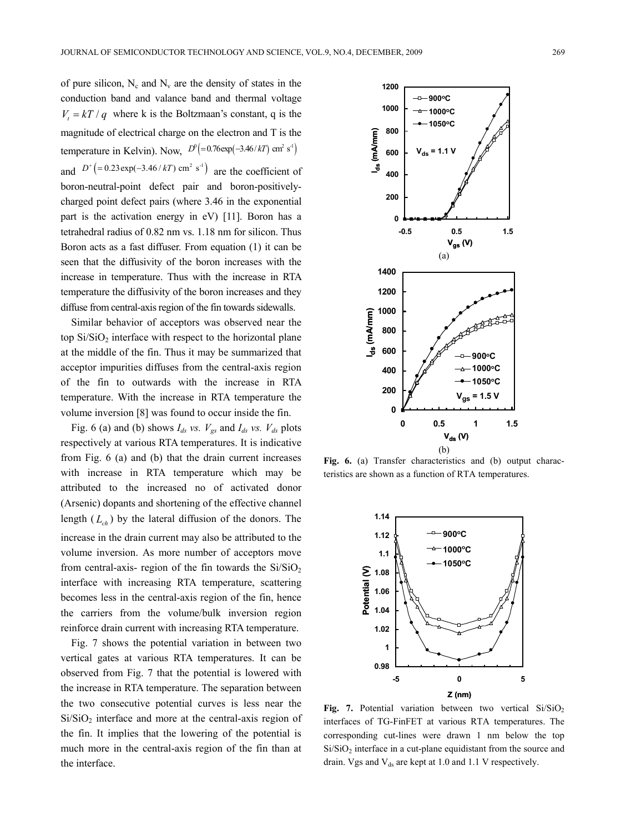of pure silicon,  $N_c$  and  $N_v$  are the density of states in the conduction band and valance band and thermal voltage  $V<sub>t</sub> = kT / q$  where k is the Boltzmaan's constant, q is the magnitude of electrical charge on the electron and T is the temperature in Kelvin). Now,  $D^0 = 0.76 \exp(-3.46/ kT) \text{ cm}^2 \text{ s}^{-1}$ and  $D^+$   $\left( = 0.23 \exp(-3.46 / kT) \text{ cm}^2 \text{ s}^{-1} \right)$  are the coefficient of boron-neutral-point defect pair and boron-positivelycharged point defect pairs (where 3.46 in the exponential part is the activation energy in eV) [11]. Boron has a tetrahedral radius of 0.82 nm vs. 1.18 nm for silicon. Thus Boron acts as a fast diffuser. From equation (1) it can be seen that the diffusivity of the boron increases with the increase in temperature. Thus with the increase in RTA temperature the diffusivity of the boron increases and they diffuse from central-axis region of the fin towards sidewalls.

Similar behavior of acceptors was observed near the top  $Si/SiO<sub>2</sub>$  interface with respect to the horizontal plane at the middle of the fin. Thus it may be summarized that acceptor impurities diffuses from the central-axis region of the fin to outwards with the increase in RTA temperature. With the increase in RTA temperature the volume inversion [8] was found to occur inside the fin.

Fig. 6 (a) and (b) shows  $I_{ds}$  vs.  $V_{gs}$  and  $I_{ds}$  vs.  $V_{ds}$  plots respectively at various RTA temperatures. It is indicative from Fig. 6 (a) and (b) that the drain current increases with increase in RTA temperature which may be attributed to the increased no of activated donor (Arsenic) dopants and shortening of the effective channel length  $(L<sub>ch</sub>)$  by the lateral diffusion of the donors. The increase in the drain current may also be attributed to the volume inversion. As more number of acceptors move from central-axis- region of the fin towards the  $Si/SiO<sub>2</sub>$ interface with increasing RTA temperature, scattering becomes less in the central-axis region of the fin, hence the carriers from the volume/bulk inversion region reinforce drain current with increasing RTA temperature.

Fig. 7 shows the potential variation in between two vertical gates at various RTA temperatures. It can be observed from Fig. 7 that the potential is lowered with the increase in RTA temperature. The separation between the two consecutive potential curves is less near the  $Si/SiO<sub>2</sub>$  interface and more at the central-axis region of the fin. It implies that the lowering of the potential is much more in the central-axis region of the fin than at the interface.



**Fig. 6.** (a) Transfer characteristics and (b) output characteristics are shown as a function of RTA temperatures.



**Fig. 7.** Potential variation between two vertical  $Si/SiO<sub>2</sub>$ interfaces of TG-FinFET at various RTA temperatures. The corresponding cut-lines were drawn 1 nm below the top  $Si/SiO<sub>2</sub>$  interface in a cut-plane equidistant from the source and drain. Vgs and  $V_{ds}$  are kept at 1.0 and 1.1 V respectively.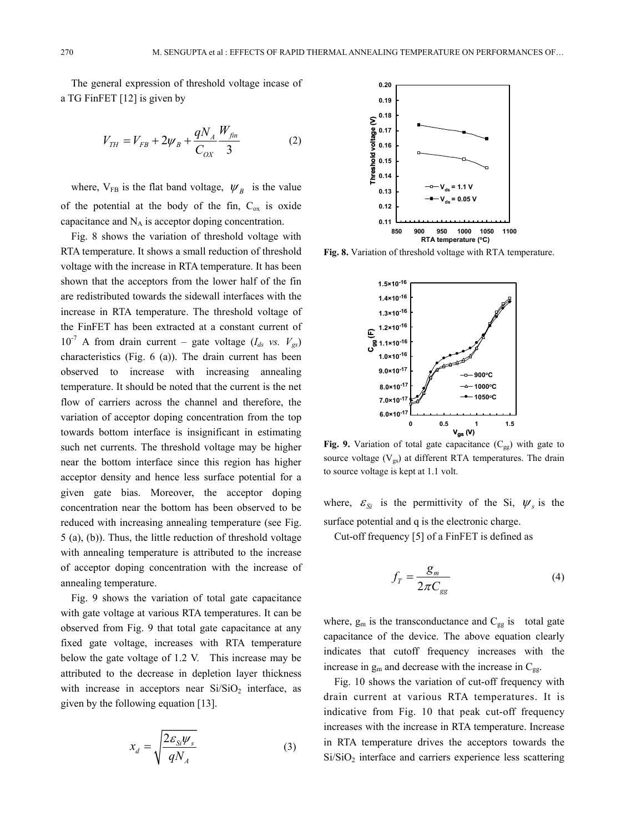The general expression of threshold voltage incase of a TG FinFET [12] is given by

$$
V_{TH} = V_{FB} + 2\psi_B + \frac{qN_A}{C_{OX}} \frac{W_{fin}}{3}
$$
 (2)

where,  $V_{FB}$  is the flat band voltage,  $\psi_B$  is the value of the potential at the body of the fin,  $C_{ox}$  is oxide capacitance and  $N_A$  is acceptor doping concentration.

Fig. 8 shows the variation of threshold voltage with RTA temperature. It shows a small reduction of threshold voltage with the increase in RTA temperature. It has been shown that the acceptors from the lower half of the fin are redistributed towards the sidewall interfaces with the increase in RTA temperature. The threshold voltage of the FinFET has been extracted at a constant current of  $10^{-7}$  A from drain current – gate voltage ( $I_{ds}$  vs.  $V_{gs}$ ) characteristics (Fig. 6 (a)). The drain current has been observed to increase with increasing annealing temperature. It should be noted that the current is the net flow of carriers across the channel and therefore, the variation of acceptor doping concentration from the top towards bottom interface is insignificant in estimating such net currents. The threshold voltage may be higher near the bottom interface since this region has higher acceptor density and hence less surface potential for a given gate bias. Moreover, the acceptor doping concentration near the bottom has been observed to be reduced with increasing annealing temperature (see Fig. 5 (a), (b)). Thus, the little reduction of threshold voltage with annealing temperature is attributed to the increase of acceptor doping concentration with the increase of annealing temperature.

Fig. 9 shows the variation of total gate capacitance with gate voltage at various RTA temperatures. It can be observed from Fig. 9 that total gate capacitance at any fixed gate voltage, increases with RTA temperature below the gate voltage of 1.2 V. This increase may be attributed to the decrease in depletion layer thickness with increase in acceptors near  $Si/SiO<sub>2</sub>$  interface, as given by the following equation [13].

$$
x_d = \sqrt{\frac{2\epsilon_{Si}\psi_s}{qN_A}}
$$
 (3)



**Fig. 8.** Variation of threshold voltage with RTA temperature.



**Fig. 9.** Variation of total gate capacitance  $(C_{gg})$  with gate to source voltage  $(V_{gs})$  at different RTA temperatures. The drain to source voltage is kept at 1.1 volt.

where,  $\varepsilon_{Si}$  is the permittivity of the Si,  $\psi_s$  is the surface potential and q is the electronic charge.

Cut-off frequency [5] of a FinFET is defined as

$$
f_T = \frac{g_m}{2\pi C_{gg}}\tag{4}
$$

where,  $g_m$  is the transconductance and  $C_{gg}$  is total gate capacitance of the device. The above equation clearly indicates that cutoff frequency increases with the increase in  $g_m$  and decrease with the increase in  $C_{gg}$ .

Fig. 10 shows the variation of cut-off frequency with drain current at various RTA temperatures. It is indicative from Fig. 10 that peak cut-off frequency increases with the increase in RTA temperature. Increase in RTA temperature drives the acceptors towards the  $Si/SiO<sub>2</sub>$  interface and carriers experience less scattering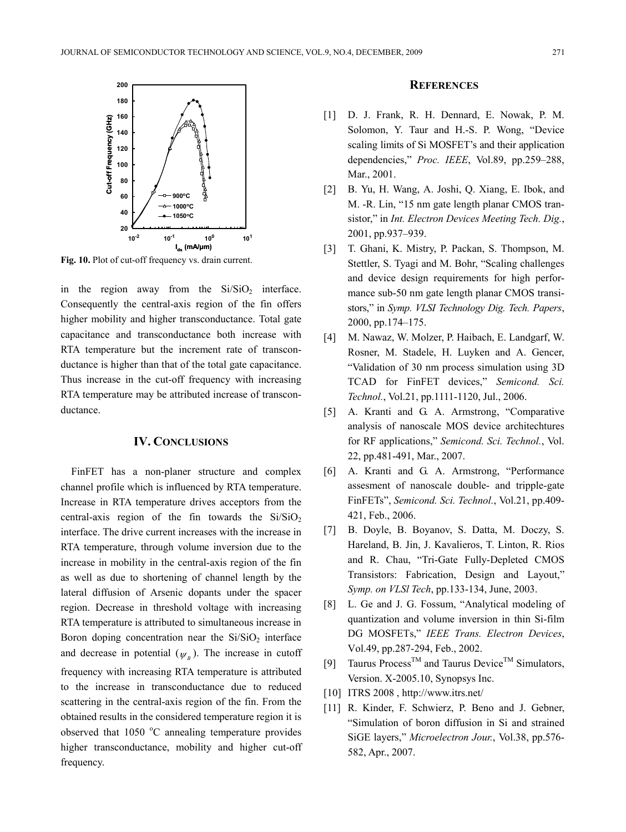

**Fig. 10.** Plot of cut-off frequency vs. drain current.

in the region away from the  $Si/SiO<sub>2</sub>$  interface. Consequently the central-axis region of the fin offers higher mobility and higher transconductance. Total gate capacitance and transconductance both increase with RTA temperature but the increment rate of transconductance is higher than that of the total gate capacitance. Thus increase in the cut-off frequency with increasing RTA temperature may be attributed increase of transconductance.

### **IV. CONCLUSIONS**

FinFET has a non-planer structure and complex channel profile which is influenced by RTA temperature. Increase in RTA temperature drives acceptors from the central-axis region of the fin towards the  $Si/SiO<sub>2</sub>$ interface. The drive current increases with the increase in RTA temperature, through volume inversion due to the increase in mobility in the central-axis region of the fin as well as due to shortening of channel length by the lateral diffusion of Arsenic dopants under the spacer region. Decrease in threshold voltage with increasing RTA temperature is attributed to simultaneous increase in Boron doping concentration near the  $Si/SiO<sub>2</sub>$  interface and decrease in potential  $(\psi_p)$ . The increase in cutoff frequency with increasing RTA temperature is attributed to the increase in transconductance due to reduced scattering in the central-axis region of the fin. From the obtained results in the considered temperature region it is observed that 1050 °C annealing temperature provides higher transconductance, mobility and higher cut-off frequency.

#### **REFERENCES**

- [1] D. J. Frank, R. H. Dennard, E. Nowak, P. M. Solomon, Y. Taur and H.-S. P. Wong, "Device scaling limits of Si MOSFET's and their application dependencies," *Proc. IEEE*, Vol.89, pp.259–288, Mar., 2001.
- [2] B. Yu, H. Wang, A. Joshi, Q. Xiang, E. Ibok, and M. -R. Lin, "15 nm gate length planar CMOS transistor," in *Int. Electron Devices Meeting Tech. Dig.*, 2001, pp.937–939.
- [3] T. Ghani, K. Mistry, P. Packan, S. Thompson, M. Stettler, S. Tyagi and M. Bohr, "Scaling challenges and device design requirements for high performance sub-50 nm gate length planar CMOS transistors," in *Symp. VLSI Technology Dig. Tech. Papers*, 2000, pp.174–175.
- [4] M. Nawaz, W. Molzer, P. Haibach, E. Landgarf, W. Rosner, M. Stadele, H. Luyken and A. Gencer, "Validation of 30 nm process simulation using 3D TCAD for FinFET devices," *Semicond. Sci. Technol.*, Vol.21, pp.1111-1120, Jul., 2006.
- [5] A. Kranti and G. A. Armstrong, "Comparative analysis of nanoscale MOS device architechtures for RF applications," *Semicond. Sci. Technol.*, Vol. 22, pp.481-491, Mar., 2007.
- [6] A. Kranti and G. A. Armstrong, "Performance assesment of nanoscale double- and tripple-gate FinFETs", *Semicond. Sci. Technol.*, Vol.21, pp.409- 421, Feb., 2006.
- [7] B. Doyle, B. Boyanov, S. Datta, M. Doczy, S. Hareland, B. Jin, J. Kavalieros, T. Linton, R. Rios and R. Chau, "Tri-Gate Fully-Depleted CMOS Transistors: Fabrication, Design and Layout," *Symp. on VLSl Tech*, pp.133-134, June, 2003.
- [8] L. Ge and J. G. Fossum, "Analytical modeling of quantization and volume inversion in thin Si-film DG MOSFETs," *IEEE Trans. Electron Devices*, Vol.49, pp.287-294, Feb., 2002.
- [9] Taurus Process<sup>TM</sup> and Taurus Device<sup>TM</sup> Simulators, Version. X-2005.10, Synopsys Inc.
- [10] ITRS 2008 , http://www.itrs.net/
- [11] R. Kinder, F. Schwierz, P. Beno and J. Gebner, "Simulation of boron diffusion in Si and strained SiGE layers," *Microelectron Jour.*, Vol.38, pp.576- 582, Apr., 2007.